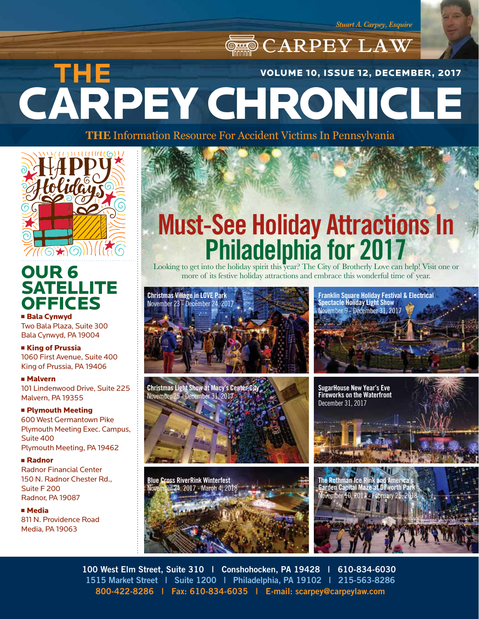*Stuart A. Carpey, Esquire*

# **CARPEY LAW** CARPEY CHRONICLE **THE**  VOLUME 10, ISSUE 12, DECEMBER, 2017

**THE** Information Resource For Accident Victims In Pennsylvania



### OUR 6 **SATELLITE OFFICES** ■ Bala Cynwyd

Two Bala Plaza, Suite 300 Bala Cynwyd, PA 19004

■ King of Prussia 1060 First Avenue, Suite 400 King of Prussia, PA 19406

<sup>n</sup> Malvern 101 Lindenwood Drive, Suite 225 Malvern, PA 19355

### **F** Plymouth Meeting

600 West Germantown Pike Plymouth Meeting Exec. Campus, Suite 400 Plymouth Meeting, PA 19462

#### <sup>n</sup> Radnor

Radnor Financial Center 150 N. Radnor Chester Rd., Suite F 200 Radnor, PA 19087

<sup>n</sup> Media 811 N. Providence Road Media, PA 19063

# **Must-See Holiday Attractions In<br>Philadelphia for 2017**

more of its festive holiday attractions and embrace this wonderful time of year.







**Franklin Square Holiday Festival & Electrical Spectacle Holiday Light Show** November 9 - December 31, 2017





**100 West Elm Street, Suite 310 | Conshohocken, PA 19428 | 610-834-6030 1515 Market Street | Suite 1200 | Philadelphia, PA 19102 | 215-563-8286 800-422-8286 | Fax: 610-834-6035 | E-mail: scarpey@carpeylaw.com**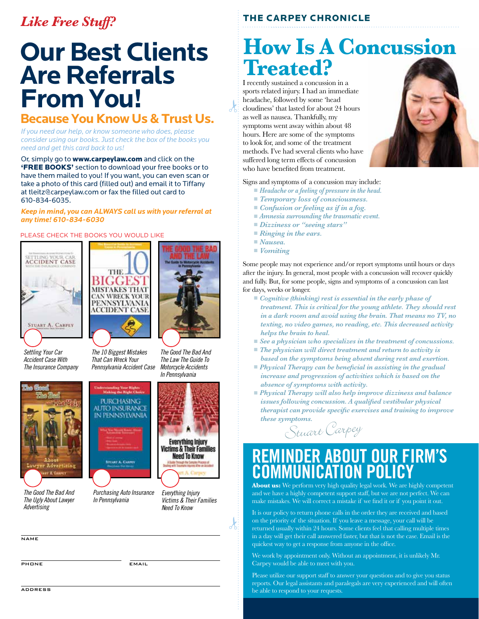### *Like Free Stuff?*

# **Our Best Clients Are Referrals From You!**

### **Because You Know Us & Trust Us.**

*If you need our help, or know someone who does, please consider using our books. Just check the box of the books you need and get this card back to us!*

Or, simply go to **www.carpeylaw.com** and click on the **'FREE BOOKS'** section to download your free books or to have them mailed to you! If you want, you can even scan or take a photo of this card (filled out) and email it to Tiffany at tleitz@carpeylaw.com or fax the filled out card to 610-834-6035.

#### *Keep in mind, you can ALWAYS call us with your referral at any time! 610-834-6030*

#### PLEASE CHECK THE BOOKS YOU WOULD LIKE





*Settling Your Car Accident Case With The Insurance Company*



*The 10 Biggest Mistakes That Can Wreck Your Pennsylvania Accident Case*



*The Good The Bad And The Law The Guide To Motorcycle Accidents*

*In Pennsylvania*



*The Good The Bad And The Ugly About Lawyer Advertising*



*Purchasing Auto Insurance In Pennsylvania*



*Everything Injury Victims & Their Families Need To Know*

 $\lambda$ 

**NAME** 

PHONE EMAIL

### THE CARPEY CHRONICLE

# **How Is A Concussion Treated?**

I recently sustained a concussion in a sports related injury. I had an immediate headache, followed by some 'head cloudiness' that lasted for about 24 hours as well as nausea. Thankfully, my symptoms went away within about 48 hours. Here are some of the symptoms to look for, and some of the treatment methods. I've had several clients who have suffered long term effects of concussion who have benefited from treatment.



Signs and symptoms of a concussion may include:

- *Headache or a feeling of pressure in the head.*
- *Temporary loss of consciousness.*
- *Confusion or feeling as if in a fog.*
- *Amnesia surrounding the traumatic event.*
- *Dizziness or "seeing stars*"
- *Ringing in the ears.*
- *Nausea.*

 $\lambda$ 

■ *Vomiting* 

Some people may not experience and/or report symptoms until hours or days after the injury. In general, most people with a concussion will recover quickly and fully. But, for some people, signs and symptoms of a concussion can last for days, weeks or longer.

- *Cognitive (thinking) rest is essential in the early phase of treatment. This is critical for the young athlete. They should rest in a dark room and avoid using the brain. That means no TV, no texting, no video games, no reading, etc. This decreased activity helps the brain to heal.*
- *See a physician who specializes in the treatment of concussions.*
- *The physician will direct treatment and return to activity is based on the symptoms being absent during rest and exertion.*
- *Physical Therapy can be beneficial in assisting in the gradual increase and progression of activities which is based on the absence of symptoms with activity.*
- *Physical Therapy will also help improve dizziness and balance issues following concussion. A qualified vestibular physical therapist can provide specific exercises and training to improve these symptoms.*

Stuart Carpey

### **REMINDER ABOUT OUR FIRM'S COMMUNICATION POLICY**

**About us:** We perform very high quality legal work. We are highly competent and we have a highly competent support staff, but we are not perfect. We can make mistakes. We will correct a mistake if we find it or if you point it out.

It is our policy to return phone calls in the order they are received and based on the priority of the situation. If you leave a message, your call will be returned usually within 24 hours. Some clients feel that calling multiple times in a day will get their call answered faster, but that is not the case. Email is the quickest way to get a response from anyone in the office.

We work by appointment only. Without an appointment, it is unlikely Mr. Carpey would be able to meet with you.

Please utilize our support staff to answer your questions and to give you status reports. Our legal assistants and paralegals are very experienced and will often be able to respond to your requests.

**ADDRESS**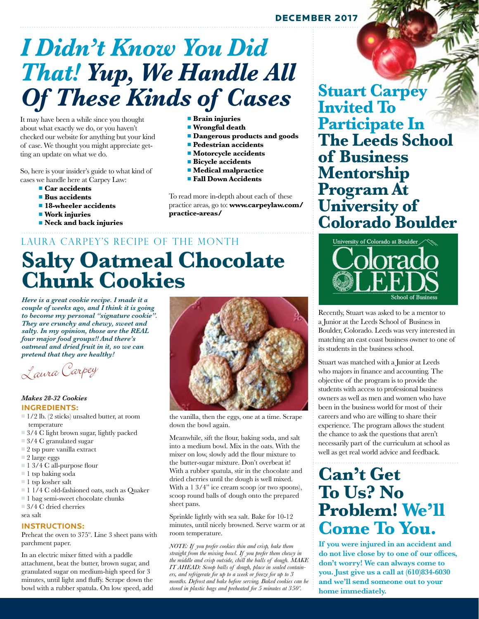### DECEMBER 2017

# *I Didn't Know You Did That! Yup, We Handle All Of These Kinds of Cases*

It may have been a while since you thought about what exactly we do, or you haven't checked our website for anything but your kind of case. We thought you might appreciate getting an update on what we do.

So, here is your insider's guide to what kind of cases we handle here at Carpey Law:

- *Car accidents*
- <sup>n</sup>**Bus accidents**
- $\blacksquare$  **18-wheeler accidents**
- <sup>n</sup>**Work injuries**
- **n Neck and back injuries**
- **n** Brain injuries
- $\blacksquare$  Wrongful death
- $\blacksquare$  **Dangerous products and goods**
- **n** Pedestrian accidents
- $\blacksquare$  Motorcycle accidents
- $\blacksquare$  **Bicycle accidents**
- **n** *Medical malpractice*
- **Fall Down Accidents**

To read more in-depth about each of these practice areas, go to: **www.carpeylaw.com/ practice-areas/**

# **Salty Oatmeal Chocolate Chunk Cookies** LAURA CARPEY'S RECIPE OF THE MONTH

*Here is a great cookie recipe. I made it a couple of weeks ago, and I think it is going to become my personal "signature cookie". They are crunchy and chewy, sweet and salty. In my opinion, those are the REAL four major food groups!! And there's oatmeal and dried fruit in it, so we can pretend that they are healthy!*

Laura Carpey

#### *Makes 28-32 Cookies*  **INGREDIENTS:**

- $= 1/2$  lb. (2 sticks) unsalted butter, at room temperature
- $\Box$  3/4 C light brown sugar, lightly packed
- $\Box$  3/4 C granulated sugar
- $\Box$  2 tsp pure vanilla extract
- $\Box$  2 large eggs
- $\blacksquare$  1 3/4 C all-purpose flour
- $\blacksquare$  1 tsp baking soda
- $\blacksquare$  1 tsp kosher salt
- <sup>n</sup> 1 1/4 C old-fashioned oats, such as Quaker
- $\blacksquare$  1 bag semi-sweet chocolate chunks
- $= 3/4$  C dried cherries

sea salt

#### **INSTRUCTIONS:**

Preheat the oven to 375º. Line 3 sheet pans with parchment paper.

In an electric mixer fitted with a paddle attachment, beat the butter, brown sugar, and granulated sugar on medium-high speed for 3 minutes, until light and fluffy. Scrape down the bowl with a rubber spatula. On low speed, add



the vanilla, then the eggs, one at a time. Scrape down the bowl again.

Meanwhile, sift the flour, baking soda, and salt into a medium bowl. Mix in the oats. With the mixer on low, slowly add the flour mixture to the butter-sugar mixture. Don't overbeat it! With a rubber spatula, stir in the chocolate and dried cherries until the dough is well mixed. With a 1 3/4" ice cream scoop (or two spoons), scoop round balls of dough onto the prepared sheet pans.

Sprinkle lightly with sea salt. Bake for 10-12 minutes, until nicely browned. Serve warm or at room temperature.

*NOTE: If you prefer cookies thin and crisp, bake them straight from the mixing bowl. If you prefer them chewy in the middle and crisp outside, chill the balls of dough. MAKE IT AHEAD: Scoop balls of dough, place in sealed containers, and refrigerate for up to a week or freeze for up to 3 months. Defrost and bake before serving. Baked cookies can be stored in plastic bags and preheated for 5 minutes at 350º.*

**Stuart Carpey Invited To Participate In The Leeds School of Business Mentorship Program At University of Colorado Boulder**



Recently, Stuart was asked to be a mentor to a Junior at the Leeds School of Business in Boulder, Colorado. Leeds was very interested in matching an east coast business owner to one of its students in the business school.

Stuart was matched with a Junior at Leeds who majors in finance and accounting. The objective of the program is to provide the students with access to professional business owners as well as men and women who have been in the business world for most of their careers and who are willing to share their experience. The program allows the student the chance to ask the questions that aren't necessarily part of the curriculum at school as well as get real world advice and feedback.

## **Can't Get To Us? No Problem! We'll Come To You.**

**If you were injured in an accident and do not live close by to one of our offices, don't worry! We can always come to you. Just give us a call at (610)834-6030 and we'll send someone out to your home immediately.**